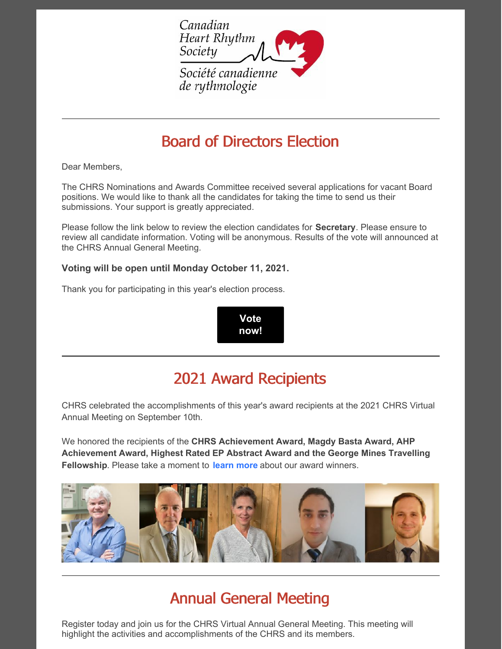

# Board of Directors Election

Dear Members,

The CHRS Nominations and Awards Committee received several applications for vacant Board positions. We would like to thank all the candidates for taking the time to send us their submissions. Your support is greatly appreciated.

Please follow the link below to review the election candidates for **Secretary**. Please ensure to review all candidate information. Voting will be anonymous. Results of the vote will announced at the CHRS Annual General Meeting.

#### **Voting will be open until Monday October 11, 2021.**

Thank you for participating in this year's election process.

**Vote [now!](https://www.surveymonkey.com/r/DXCSDMK)**

# 2021 Award Recipients

CHRS celebrated the accomplishments of this year's award recipients at the 2021 CHRS Virtual Annual Meeting on September 10th.

We honored the recipients of the **CHRS Achievement Award, Magdy Basta Award, AHP Achievement Award, Highest Rated EP Abstract Award and the George Mines Travelling Fellowship**. Please take a moment to **[learn](https://www.chrsonline.ca/about-us/awards) more** about our award winners.



# Annual General Meeting

Register today and join us for the CHRS Virtual Annual General Meeting. This meeting will highlight the activities and accomplishments of the CHRS and its members.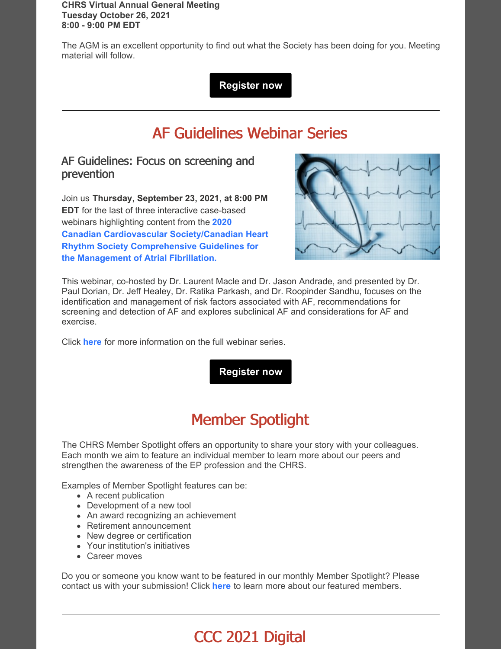**CHRS Virtual Annual General Meeting Tuesday October 26, 2021 8:00 - 9:00 PM EDT**

The AGM is an excellent opportunity to find out what the Society has been doing for you. Meeting material will follow.

**[Register](https://zoom.us/meeting/register/tJAkcuqoqzwtE9APykyHDlWfxNYasdIenxgQ) now**

# AF Guidelines Webinar Series

#### AF Guidelines: Focus on screening and prevention

Join us **Thursday, September 23, 2021, at 8:00 PM EDT** for the last of three interactive case-based webinars highlighting content from the **2020 Canadian Cardiovascular [Society/Canadian](https://www.onlinecjc.ca/article/S0828-282X(20)30991-0/fulltext) Heart Rhythm Society Comprehensive Guidelines for the Management of Atrial Fibrillation.**



This webinar, co-hosted by Dr. Laurent Macle and Dr. Jason Andrade, and presented by Dr. Paul Dorian, Dr. Jeff Healey, Dr. Ratika Parkash, and Dr. Roopinder Sandhu, focuses on the identification and management of risk factors associated with AF, recommendations for screening and detection of AF and explores subclinical AF and considerations for AF and exercise.

Click **[here](https://ccs.ca/app/uploads/2021/09/AF-WEBINARS-EN.pdf)** for more information on the full webinar series.

**[Register](https://register.gotowebinar.com/register/5308641564469558031) now**

# Member Spotlight

The CHRS Member Spotlight offers an opportunity to share your story with your colleagues. Each month we aim to feature an individual member to learn more about our peers and strengthen the awareness of the EP profession and the CHRS.

Examples of Member Spotlight features can be:

- A recent publication
- Development of a new tool
- An award recognizing an achievement
- Retirement announcement
- New degree or certification
- Your institution's initiatives
- Career moves

Do you or someone you know want to be featured in our monthly Member Spotlight? Please contact us with your submission! Click **[here](https://www.chrsonline.ca/about-us/member-spotlight)** to learn more about our featured members.

# CCC 2021 Digital